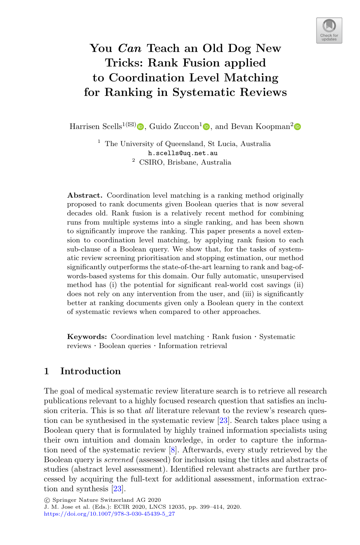

# **You** *Can* **Teach an Old Dog New Tricks: Rank Fusion applied to Coordination Level Matching for Ranking in Systematic Reviews**

Harrisen Scells<sup>1( $\boxtimes$ </sup>)<sup>0</sup>[,](http://orcid.org/0000-0003-0271-5563) Guido Zuccon<sup>1</sup><sup>0</sup>, and Bevan Koopman<sup>[2](http://orcid.org/0000-0001-5577-3391)</sup><sup>0</sup>

<sup>1</sup> The University of Queensland, St Lucia, Australia h.scells@uq.net.au <sup>2</sup> CSIRO, Brisbane, Australia

**Abstract.** Coordination level matching is a ranking method originally proposed to rank documents given Boolean queries that is now several decades old. Rank fusion is a relatively recent method for combining runs from multiple systems into a single ranking, and has been shown to significantly improve the ranking. This paper presents a novel extension to coordination level matching, by applying rank fusion to each sub-clause of a Boolean query. We show that, for the tasks of systematic review screening prioritisation and stopping estimation, our method significantly outperforms the state-of-the-art learning to rank and bag-ofwords-based systems for this domain. Our fully automatic, unsupervised method has (i) the potential for significant real-world cost savings (ii) does not rely on any intervention from the user, and (iii) is significantly better at ranking documents given only a Boolean query in the context of systematic reviews when compared to other approaches.

**Keywords:** Coordination level matching · Rank fusion · Systematic reviews · Boolean queries · Information retrieval

# <span id="page-0-0"></span>**1 Introduction**

The goal of medical systematic review literature search is to retrieve all research publications relevant to a highly focused research question that satisfies an inclusion criteria. This is so that *all* literature relevant to the review's research question can be synthesised in the systematic review [\[23\]](#page-13-0). Search takes place using a Boolean query that is formulated by highly trained information specialists using their own intuition and domain knowledge, in order to capture the information need of the systematic review [\[8\]](#page-12-0). Afterwards, every study retrieved by the Boolean query is *screened* (assessed) for inclusion using the titles and abstracts of studies (abstract level assessment). Identified relevant abstracts are further processed by acquiring the full-text for additional assessment, information extraction and synthesis [\[23](#page-13-0)].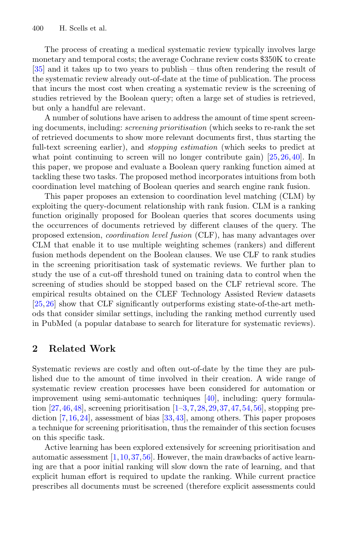The process of creating a medical systematic review typically involves large monetary and temporal costs; the average Cochrane review costs \$350K to create [\[35](#page-14-0)] and it takes up to two years to publish – thus often rendering the result of the systematic review already out-of-date at the time of publication. The process that incurs the most cost when creating a systematic review is the screening of studies retrieved by the Boolean query; often a large set of studies is retrieved, but only a handful are relevant.

A number of solutions have arisen to address the amount of time spent screening documents, including: *screening prioritisation* (which seeks to re-rank the set of retrieved documents to show more relevant documents first, thus starting the full-text screening earlier), and *stopping estimation* (which seeks to predict at what point continuing to screen will no longer contribute gain) [\[25,](#page-13-1) [26,](#page-13-2) [40](#page-14-1)]. In this paper, we propose and evaluate a Boolean query ranking function aimed at tackling these two tasks. The proposed method incorporates intuitions from both coordination level matching of Boolean queries and search engine rank fusion.

This paper proposes an extension to coordination level matching (CLM) by exploiting the query-document relationship with rank fusion. CLM is a ranking function originally proposed for Boolean queries that scores documents using the occurrences of documents retrieved by different clauses of the query. The proposed extension, *coordination level fusion* (CLF), has many advantages over CLM that enable it to use multiple weighting schemes (rankers) and different fusion methods dependent on the Boolean clauses. We use CLF to rank studies in the screening prioritisation task of systematic reviews. We further plan to study the use of a cut-off threshold tuned on training data to control when the screening of studies should be stopped based on the CLF retrieval score. The empirical results obtained on the CLEF Technology Assisted Review datasets [\[25](#page-13-1),[26\]](#page-13-2) show that CLF significantly outperforms existing state-of-the-art methods that consider similar settings, including the ranking method currently used in PubMed (a popular database to search for literature for systematic reviews).

### **2 Related Work**

Systematic reviews are costly and often out-of-date by the time they are published due to the amount of time involved in their creation. A wide range of systematic review creation processes have been considered for automation or improvement using semi-automatic techniques [\[40](#page-14-1)], including: query formulation  $[27, 46, 48]$  $[27, 46, 48]$  $[27, 46, 48]$ , screening prioritisation  $[1-3, 7, 28, 29, 37, 47, 54, 56]$  $[1-3, 7, 28, 29, 37, 47, 54, 56]$  $[1-3, 7, 28, 29, 37, 47, 54, 56]$  $[1-3, 7, 28, 29, 37, 47, 54, 56]$  $[1-3, 7, 28, 29, 37, 47, 54, 56]$  $[1-3, 7, 28, 29, 37, 47, 54, 56]$  $[1-3, 7, 28, 29, 37, 47, 54, 56]$  $[1-3, 7, 28, 29, 37, 47, 54, 56]$  $[1-3, 7, 28, 29, 37, 47, 54, 56]$  $[1-3, 7, 28, 29, 37, 47, 54, 56]$ , stopping prediction [\[7](#page-12-3),[16,](#page-13-4)[24\]](#page-13-5), assessment of bias [\[33,](#page-14-6)[43](#page-14-7)], among others. This paper proposes a technique for screening prioritisation, thus the remainder of this section focuses on this specific task.

Active learning has been explored extensively for screening prioritisation and automatic assessment  $[1,10,37,56]$  $[1,10,37,56]$  $[1,10,37,56]$  $[1,10,37,56]$  $[1,10,37,56]$ . However, the main drawbacks of active learning are that a poor initial ranking will slow down the rate of learning, and that explicit human effort is required to update the ranking. While current practice prescribes all documents must be screened (therefore explicit assessments could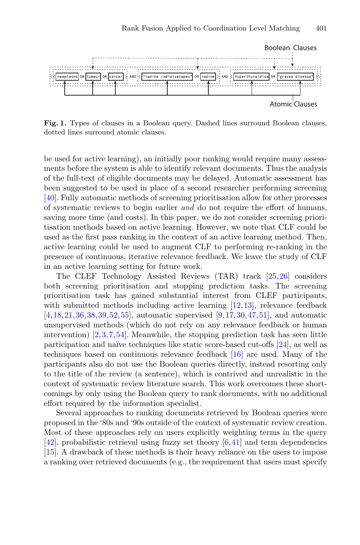

<span id="page-2-0"></span>**Fig. 1.** Types of clauses in a Boolean query. Dashed lines surround Boolean clauses, dotted lines surround atomic clauses.

be used for active learning), an initially poor ranking would require many assessments before the system is able to identify relevant documents. Thus the analysis of the full-text of eligible documents may be delayed. Automatic assessment has been suggested to be used in place of a second researcher performing screening [\[40](#page-14-1)]. Fully automatic methods of screening prioritisation allow for other processes of systematic reviews to begin earlier *and* do not require the effort of humans, saving more time (and costs). In this paper, we do not consider screening prioritisation methods based on active learning. However, we note that CLF could be used as the first pass ranking in the context of an active learning method. Then, active learning could be used to augment CLF to performing re-ranking in the presence of continuous, iterative relevance feedback. We leave the study of CLF in an active learning setting for future work.

The CLEF Technology Assisted Reviews (TAR) track [\[25,](#page-13-1)[26](#page-13-2)] considers both screening prioritisation and stopping prediction tasks. The screening prioritisation task has gained substantial interest from CLEF participants, with submitted methods including active learning [\[12](#page-13-7),[13\]](#page-13-8), relevance feedback [\[4](#page-12-4)[,18](#page-13-9),[21,](#page-13-10)[36](#page-14-8)[,38](#page-14-9),[39,](#page-14-10)[52](#page-15-4)[,55](#page-15-5)], automatic supervised [\[9](#page-13-11)[,17](#page-13-12),[30,](#page-14-11)[47](#page-15-1)[,51](#page-15-6)], and automatic unsupervised methods (which do not rely on any relevance feedback or human intervention)  $[2,3,7,54]$  $[2,3,7,54]$  $[2,3,7,54]$  $[2,3,7,54]$  $[2,3,7,54]$ . Meanwhile, the stopping prediction task has seen little participation and na¨ıve techniques like static score-based cut-offs [\[24](#page-13-5)], as well as techniques based on continuous relevance feedback [\[16](#page-13-4)] are used. Many of the participants also do not use the Boolean queries directly, instead resorting only to the title of the review (a sentence), which is contrived and unrealistic in the context of systematic review literature search. This work overcomes these shortcomings by only using the Boolean query to rank documents, with no additional effort required by the information specialist.

Several approaches to ranking documents retrieved by Boolean queries were proposed in the '80s and '90s outside of the context of systematic review creation. Most of these approaches rely on users explicitly weighting terms in the query [\[42](#page-14-12)], probabilistic retrieval using fuzzy set theory [\[6](#page-12-6),[41\]](#page-14-13) and term dependencies [\[15](#page-13-13)]. A drawback of these methods is their heavy reliance on the users to impose a ranking over retrieved documents (e.g., the requirement that users must specify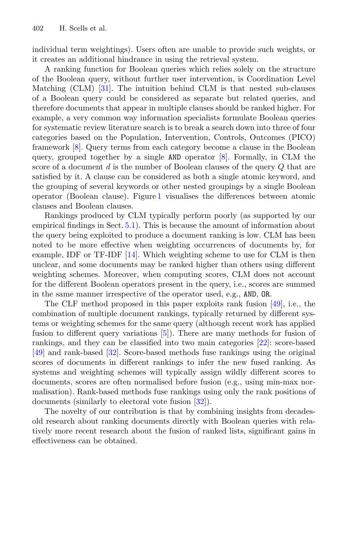individual term weightings). Users often are unable to provide such weights, or it creates an additional hindrance in using the retrieval system.

A ranking function for Boolean queries which relies solely on the structure of the Boolean query, without further user intervention, is Coordination Level Matching (CLM) [\[31](#page-14-14)]. The intuition behind CLM is that nested sub-clauses of a Boolean query could be considered as separate but related queries, and therefore documents that appear in multiple clauses should be ranked higher. For example, a very common way information specialists formulate Boolean queries for systematic review literature search is to break a search down into three of four categories based on the Population, Intervention, Controls, Outcomes (PICO) framework [\[8](#page-12-0)]. Query terms from each category become a clause in the Boolean query, grouped together by a single AND operator [\[8](#page-12-0)]. Formally, in CLM the score of a document d is the number of Boolean clauses of the query Q that are satisfied by it. A clause can be considered as both a single atomic keyword, and the grouping of several keywords or other nested groupings by a single Boolean operator (Boolean clause). Figure [1](#page-2-0) visualises the differences between atomic clauses and Boolean clauses.

Rankings produced by CLM typically perform poorly (as supported by our empirical findings in Sect. [5.1\)](#page-8-0). This is because the amount of information about the query being exploited to produce a document ranking is low. CLM has been noted to be more effective when weighting occurrences of documents by, for example, IDF or TF-IDF  $[14]$  $[14]$ . Which weighting scheme to use for CLM is then unclear, and some documents may be ranked higher than others using different weighting schemes. Moreover, when computing scores, CLM does not account for the different Boolean operators present in the query, i.e., scores are summed in the same manner irrespective of the operator used, e.g., AND, OR.

The CLF method proposed in this paper exploits rank fusion [\[49\]](#page-15-7), i.e., the combination of multiple document rankings, typically returned by different systems or weighting schemes for the same query (although recent work has applied fusion to different query variations [\[5\]](#page-12-7)). There are many methods for fusion of rankings, and they can be classified into two main categories [\[22](#page-13-15)]: score-based [\[49](#page-15-7)] and rank-based [\[32](#page-14-15)]. Score-based methods fuse rankings using the original scores of documents in different rankings to infer the new fused ranking. As systems and weighting schemes will typically assign wildly different scores to documents, scores are often normalised before fusion (e.g., using min-max normalisation). Rank-based methods fuse rankings using only the rank positions of documents (similarly to electoral vote fusion [\[32](#page-14-15)]).

The novelty of our contribution is that by combining insights from decadesold research about ranking documents directly with Boolean queries with relatively more recent research about the fusion of ranked lists, significant gains in effectiveness can be obtained.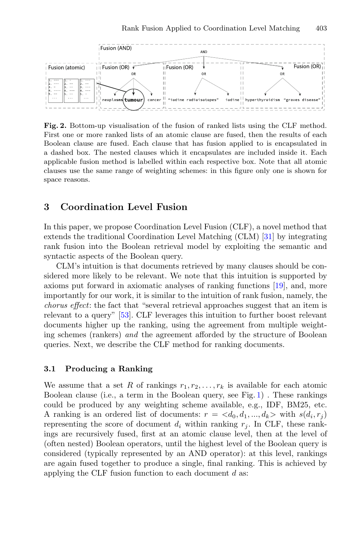

<span id="page-4-0"></span>**Fig. 2.** Bottom-up visualisation of the fusion of ranked lists using the CLF method. First one or more ranked lists of an atomic clause are fused, then the results of each Boolean clause are fused. Each clause that has fusion applied to is encapsulated in a dashed box. The nested clauses which it encapsulates are included inside it. Each applicable fusion method is labelled within each respective box. Note that all atomic clauses use the same range of weighting schemes: in this figure only one is shown for space reasons.

#### **3 Coordination Level Fusion**

In this paper, we propose Coordination Level Fusion (CLF), a novel method that extends the traditional Coordination Level Matching (CLM) [\[31](#page-14-14)] by integrating rank fusion into the Boolean retrieval model by exploiting the semantic and syntactic aspects of the Boolean query.

CLM's intuition is that documents retrieved by many clauses should be considered more likely to be relevant. We note that this intuition is supported by axioms put forward in axiomatic analyses of ranking functions [\[19\]](#page-13-16), and, more importantly for our work, it is similar to the intuition of rank fusion, namely, the *chorus effect*: the fact that "several retrieval approaches suggest that an item is relevant to a query" [\[53](#page-15-8)]. CLF leverages this intuition to further boost relevant documents higher up the ranking, using the agreement from multiple weighting schemes (rankers) *and* the agreement afforded by the structure of Boolean queries. Next, we describe the CLF method for ranking documents.

#### **3.1 Producing a Ranking**

We assume that a set R of rankings  $r_1, r_2, \ldots, r_k$  is available for each atomic Boolean clause (i.e., a term in the Boolean query, see Fig. [1\)](#page-2-0) . These rankings could be produced by any weighting scheme available, e.g., IDF, BM25, etc. A ranking is an ordered list of documents:  $r = \langle d_0, d_1, ..., d_k \rangle$  with  $s(d_i, r_j)$ representing the score of document  $d_i$  within ranking  $r_i$ . In CLF, these rankings are recursively fused, first at an atomic clause level, then at the level of (often nested) Boolean operators, until the highest level of the Boolean query is considered (typically represented by an AND operator): at this level, rankings are again fused together to produce a single, final ranking. This is achieved by applying the CLF fusion function to each document  $d$  as: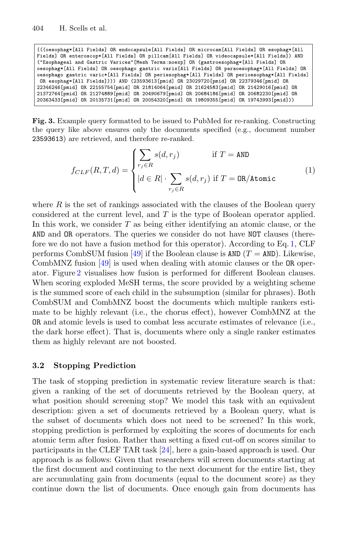| (((oesophag*[All Fields] OR endocapsule[All Fields] OR microcam[All Fields] OR esophag*[All    |  |  |  |  |  |  |  |  |
|------------------------------------------------------------------------------------------------|--|--|--|--|--|--|--|--|
| Fields] OR enteroscop*[All Fields] OR pillcam[All Fields] OR videocapsule*[All Fields]) AND    |  |  |  |  |  |  |  |  |
| ("Esophageal and Gastric Varices"[Mesh Terms:noexp] OR (gastroesophag*[All Fields] OR          |  |  |  |  |  |  |  |  |
| oesophag*[All Fields] OR oesophago gastric varix[All Fields] OR paraoesophag*[All Fields] OR   |  |  |  |  |  |  |  |  |
| oesophago gastric varic*[All Fields] OR periesophag*[All Fields] OR perioesophag*[All Fields]  |  |  |  |  |  |  |  |  |
| OR esophag*[All Fields]))) AND (23593613[pmid] OR 23029720[pmid] OR 22379346[pmid] OR          |  |  |  |  |  |  |  |  |
| 22346246[pmid] OR 22155754[pmid] OR 21814064[pmid] OR 21624583[pmid] OR 21429016[pmid] OR      |  |  |  |  |  |  |  |  |
| 21372764 [pmid] OR 21274889 [pmid] OR 20490679 [pmid] OR 20684186 [pmid] OR 20682230 [pmid] OR |  |  |  |  |  |  |  |  |
| 20363433 [pmid] OR 20135731 [pmid] OR 20054320 [pmid] OR 19809355 [pmid] OR 19743993 [pmid]))  |  |  |  |  |  |  |  |  |

<span id="page-5-1"></span>**Fig. 3.** Example query formatted to be issued to PubMed for re-ranking. Constructing the query like above ensures only the documents specified (e.g., document number 23593613) are retrieved, and therefore re-ranked.

<span id="page-5-0"></span>
$$
f_{CLF}(R, T, d) = \begin{cases} \sum_{r_j \in R} s(d, r_j) & \text{if } T = \text{AND} \\ |d \in R| \cdot \sum_{r_j \in R} s(d, r_j) & \text{if } T = \text{OR/Atomic} \end{cases}
$$
(1)

where  $R$  is the set of rankings associated with the clauses of the Boolean query considered at the current level, and T is the type of Boolean operator applied. In this work, we consider  $T$  as being either identifying an atomic clause, or the AND and OR operators. The queries we consider do not have NOT clauses (therefore we do not have a fusion method for this operator). According to Eq. [1,](#page-5-0) CLF performs CombSUM fusion [\[49](#page-15-7)] if the Boolean clause is AND  $(T = AND)$ . Likewise, CombMNZ fusion [\[49\]](#page-15-7) is used when dealing with atomic clauses or the OR operator. Figure [2](#page-4-0) visualises how fusion is performed for different Boolean clauses. When scoring exploded MeSH terms, the score provided by a weighting scheme is the summed score of each child in the subsumption (similar for phrases). Both CombSUM and CombMNZ boost the documents which multiple rankers estimate to be highly relevant (i.e., the chorus effect), however CombMNZ at the OR and atomic levels is used to combat less accurate estimates of relevance (i.e., the dark horse effect). That is, documents where only a single ranker estimates them as highly relevant are not boosted.

#### **3.2 Stopping Prediction**

The task of stopping prediction in systematic review literature search is that: given a ranking of the set of documents retrieved by the Boolean query, at what position should screening stop? We model this task with an equivalent description: given a set of documents retrieved by a Boolean query, what is the subset of documents which does not need to be screened? In this work, stopping prediction is performed by exploiting the scores of documents for each atomic term after fusion. Rather than setting a fixed cut-off on scores similar to participants in the CLEF TAR task [\[24](#page-13-5)], here a gain-based approach is used. Our approach is as follows: Given that researchers will screen documents starting at the first document and continuing to the next document for the entire list, they are accumulating gain from documents (equal to the document score) as they continue down the list of documents. Once enough gain from documents has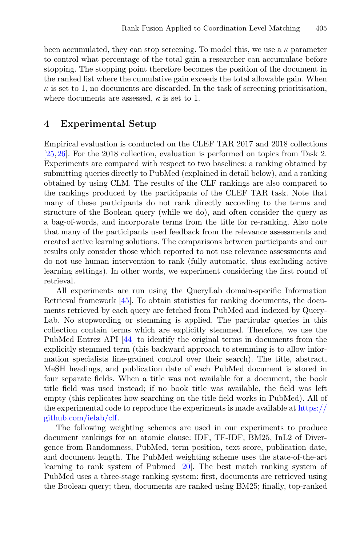been accumulated, they can stop screening. To model this, we use a  $\kappa$  parameter to control what percentage of the total gain a researcher can accumulate before stopping. The stopping point therefore becomes the position of the document in the ranked list where the cumulative gain exceeds the total allowable gain. When  $\kappa$  is set to 1, no documents are discarded. In the task of screening prioritisation, where documents are assessed,  $\kappa$  is set to 1.

## **4 Experimental Setup**

Empirical evaluation is conducted on the CLEF TAR 2017 and 2018 collections [\[25](#page-13-1)[,26](#page-13-2)]. For the 2018 collection, evaluation is performed on topics from Task 2. Experiments are compared with respect to two baselines: a ranking obtained by submitting queries directly to PubMed (explained in detail below), and a ranking obtained by using CLM. The results of the CLF rankings are also compared to the rankings produced by the participants of the CLEF TAR task. Note that many of these participants do not rank directly according to the terms and structure of the Boolean query (while we do), and often consider the query as a bag-of-words, and incorporate terms from the title for re-ranking. Also note that many of the participants used feedback from the relevance assessments and created active learning solutions. The comparisons between participants and our results only consider those which reported to not use relevance assessments and do not use human intervention to rank (fully automatic, thus excluding active learning settings). In other words, we experiment considering the first round of retrieval.

All experiments are run using the QueryLab domain-specific Information Retrieval framework [\[45\]](#page-14-16). To obtain statistics for ranking documents, the documents retrieved by each query are fetched from PubMed and indexed by Query-Lab. No stopwording or stemming is applied. The particular queries in this collection contain terms which are explicitly stemmed. Therefore, we use the PubMed Entrez API [\[44](#page-14-17)] to identify the original terms in documents from the explicitly stemmed term (this backward approach to stemming is to allow information specialists fine-grained control over their search). The title, abstract, MeSH headings, and publication date of each PubMed document is stored in four separate fields. When a title was not available for a document, the book title field was used instead; if no book title was available, the field was left empty (this replicates how searching on the title field works in PubMed). All of the experimental code to reproduce the experiments is made available at [https://](https://github.com/ielab/clf) [github.com/ielab/clf.](https://github.com/ielab/clf)

The following weighting schemes are used in our experiments to produce document rankings for an atomic clause: IDF, TF-IDF, BM25, InL2 of Divergence from Randomness, PubMed, term position, text score, publication date, and document length. The PubMed weighting scheme uses the state-of-the-art learning to rank system of Pubmed [\[20](#page-13-17)]. The best match ranking system of PubMed uses a three-stage ranking system: first, documents are retrieved using the Boolean query; then, documents are ranked using BM25; finally, top-ranked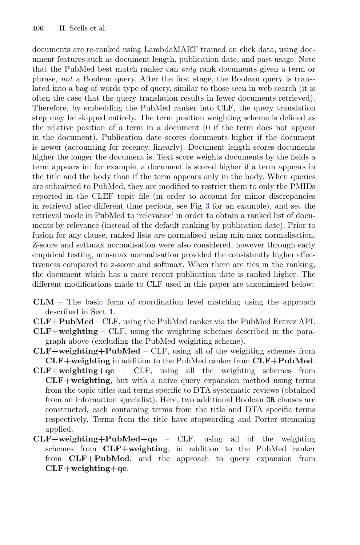documents are re-ranked using LambdaMART trained on click data, using document features such as document length, publication date, and past usage. Note that the PubMed best match ranker can *only* rank documents given a term or phrase, *not* a Boolean query. After the first stage, the Boolean query is translated into a bag-of-words type of query, similar to those seen in web search (it is often the case that the query translation results in fewer documents retrieved). Therefore, by embedding the PubMed ranker into CLF, the query translation step may be skipped entirely. The term position weighting scheme is defined as the relative position of a term in a document (0 if the term does not appear in the document). Publication date scores documents higher if the document is newer (accounting for recency, linearly). Document length scores documents higher the longer the document is. Text score weights documents by the fields a term appears in: for example, a document is scored higher if a term appears in the title and the body than if the term appears only in the body. When queries are submitted to PubMed, they are modified to restrict them to only the PMIDs reported in the CLEF topic file (in order to account for minor discrepancies in retrieval after different time periods, see Fig. [3](#page-5-1) for an example), and set the retrieval mode in PubMed to 'relevance' in order to obtain a ranked list of documents by relevance (instead of the default ranking by publication date). Prior to fusion for any clause, ranked lists are normalised using min-max normalisation. Z-score and softmax normalisation were also considered, however through early empirical testing, min-max normalisation provided the consistently higher effectiveness compared to z-score and softmax. When there are ties in the ranking, the document which has a more recent publication date is ranked higher. The different modifications made to CLF used in this paper are taxonimised below:

- **CLM** The basic form of coordination level matching using the approach described in Sect. [1.](#page-0-0)
- **CLF+PubMed** CLF, using the PubMed ranker via the PubMed Entrez API.
- **CLF+weighting** CLF, using the weighting schemes described in the paragraph above (excluding the PubMed weighting scheme).
- **CLF+weighting+PubMed** CLF, using all of the weighting schemes from **CLF+weighting** in addition to the PubMed ranker from **CLF+PubMed**.
- **CLF+weighting+qe** CLF, using all the weighting schemes from **CLF+weighting**, but with a naíve query expansion method using terms from the topic titles and terms specific to DTA systematic reviews (obtained from an information specialist). Here, two additional Boolean OR clauses are constructed, each containing terms from the title and DTA specific terms respectively. Terms from the title have stopwording and Porter stemming applied.
- **CLF+weighting+PubMed+qe** CLF, using all of the weighting schemes from **CLF+weighting**, in addition to the PubMed ranker from **CLF+PubMed**, and the approach to query expansion from **CLF+weighting+qe**.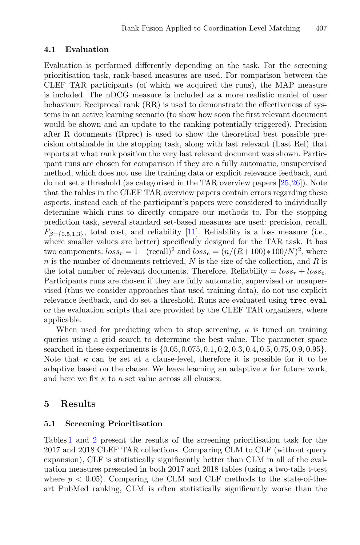#### **4.1 Evaluation**

Evaluation is performed differently depending on the task. For the screening prioritisation task, rank-based measures are used. For comparison between the CLEF TAR participants (of which we acquired the runs), the MAP measure is included. The nDCG measure is included as a more realistic model of user behaviour. Reciprocal rank (RR) is used to demonstrate the effectiveness of systems in an active learning scenario (to show how soon the first relevant document would be shown and an update to the ranking potentially triggered). Precision after R documents (Rprec) is used to show the theoretical best possible precision obtainable in the stopping task, along with last relevant (Last Rel) that reports at what rank position the very last relevant document was shown. Participant runs are chosen for comparison if they are a fully automatic, unsupervised method, which does not use the training data or explicit relevance feedback, and do not set a threshold (as categorised in the TAR overview papers [\[25,](#page-13-1)[26](#page-13-2)]). Note that the tables in the CLEF TAR overview papers contain errors regarding these aspects, instead each of the participant's papers were considered to individually determine which runs to directly compare our methods to. For the stopping prediction task, several standard set-based measures are used: precision, recall,  $F_{\beta=\{0,5,1,3\}}$ , total cost, and reliability [\[11](#page-13-18)]. Reliability is a loss measure (i.e., where smaller values are better) specifically designed for the TAR task. It has two components:  $loss_r = 1 - (recall)^2$  and  $loss_e = (n/(R+100)*100/N)^2$ , where  $n$  is the number of documents retrieved,  $N$  is the size of the collection, and  $R$  is the total number of relevant documents. Therefore, Reliability  $= loss_r + loss_e$ . Participants runs are chosen if they are fully automatic, supervised or unsupervised (thus we consider approaches that used training data), do not use explicit relevance feedback, and do set a threshold. Runs are evaluated using trec eval or the evaluation scripts that are provided by the CLEF TAR organisers, where applicable.

When used for predicting when to stop screening,  $\kappa$  is tuned on training queries using a grid search to determine the best value. The parameter space searched in these experiments is {0.05, <sup>0</sup>.075, <sup>0</sup>.1, <sup>0</sup>.2, <sup>0</sup>.3, <sup>0</sup>.4, <sup>0</sup>.5, <sup>0</sup>.75, <sup>0</sup>.9, <sup>0</sup>.95}. Note that  $\kappa$  can be set at a clause-level, therefore it is possible for it to be adaptive based on the clause. We leave learning an adaptive  $\kappa$  for future work, and here we fix  $\kappa$  to a set value across all clauses.

# <span id="page-8-0"></span>**5 Results**

#### **5.1 Screening Prioritisation**

Tables [1](#page-9-0) and [2](#page-10-0) present the results of the screening prioritisation task for the 2017 and 2018 CLEF TAR collections. Comparing CLM to CLF (without query expansion), CLF is statistically significantly better than CLM in all of the evaluation measures presented in both 2017 and 2018 tables (using a two-tails t-test where  $p < 0.05$ ). Comparing the CLM and CLF methods to the state-of-theart PubMed ranking, CLM is often statistically significantly worse than the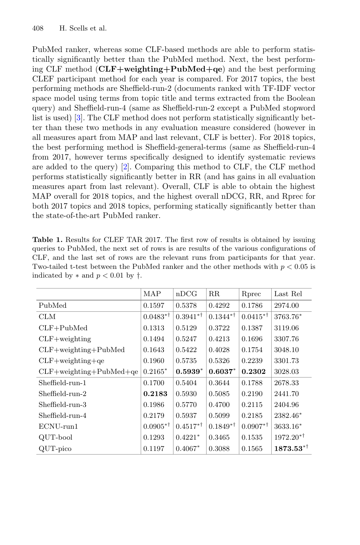PubMed ranker, whereas some CLF-based methods are able to perform statistically significantly better than the PubMed method. Next, the best performing CLF method (**CLF+weighting+PubMed+qe**) and the best performing CLEF participant method for each year is compared. For 2017 topics, the best performing methods are Sheffield-run-2 (documents ranked with TF-IDF vector space model using terms from topic title and terms extracted from the Boolean query) and Sheffield-run-4 (same as Sheffield-run-2 except a PubMed stopword list is used) [\[3](#page-12-2)]. The CLF method does not perform statistically significantly better than these two methods in any evaluation measure considered (however in all measures apart from MAP and last relevant, CLF is better). For 2018 topics, the best performing method is Sheffield-general-terms (same as Sheffield-run-4 from 2017, however terms specifically designed to identify systematic reviews are added to the query) [\[2](#page-12-5)]. Comparing this method to CLF, the CLF method performs statistically significantly better in RR (and has gains in all evaluation measures apart from last relevant). Overall, CLF is able to obtain the highest MAP overall for 2018 topics, and the highest overall nDCG, RR, and Rprec for both 2017 topics and 2018 topics, performing statically significantly better than the state-of-the-art PubMed ranker.

<span id="page-9-0"></span>**Table 1.** Results for CLEF TAR 2017. The first row of results is obtained by issuing queries to PubMed, the next set of rows is are results of the various configurations of CLF, and the last set of rows are the relevant runs from participants for that year. Two-tailed t-test between the PubMed ranker and the other methods with  $p < 0.05$  is indicated by  $*$  and  $p < 0.01$  by  $\dagger$ .

|                                 | <b>MAP</b> | nDCG       | $\rm RR$   | Rprec      | Last Rel      |
|---------------------------------|------------|------------|------------|------------|---------------|
| PubMed                          | 0.1597     | 0.5378     | 0.4292     | 0.1786     | 2974.00       |
| <b>CLM</b>                      | $0.0483**$ | $0.3941**$ | $0.1344**$ | $0.0415**$ | 3763.76*      |
| $CLF+PubMed$                    | 0.1313     | 0.5129     | 0.3722     | 0.1387     | 3119.06       |
| $CLF + weighting$               | 0.1494     | 0.5247     | 0.4213     | 0.1696     | 3307.76       |
| $CLF + weighting + PubMed$      | 0.1643     | 0.5422     | 0.4028     | 0.1754     | 3048.10       |
| $CLF + weighting + qe$          | 0.1960     | 0.5735     | 0.5326     | 0.2239     | 3301.73       |
| $CLF + weighting + PubMed + qe$ | $0.2165*$  | $0.5939*$  | $0.6037*$  | 0.2302     | 3028.03       |
| Sheffield-run-1                 | 0.1700     | 0.5404     | 0.3644     | 0.1788     | 2678.33       |
| Sheffield-run-2                 | 0.2183     | 0.5930     | 0.5085     | 0.2190     | 2441.70       |
| Sheffield-run-3                 | 0.1986     | 0.5770     | 0.4700     | 0.2115     | 2404.96       |
| Sheffield-run-4                 | 0.2179     | 0.5937     | 0.5099     | 0.2185     | 2382.46*      |
| $ECNU$ -run $1$                 | $0.0905**$ | $0.4517**$ | $0.1849**$ | $0.0907**$ | 3633.16*      |
| QUT-bool                        | 0.1293     | $0.4221*$  | 0.3465     | 0.1535     | $1972.20**$   |
| QUT-pico                        | 0.1197     | $0.4067*$  | 0.3088     | 0.1565     | $1873.53^{*}$ |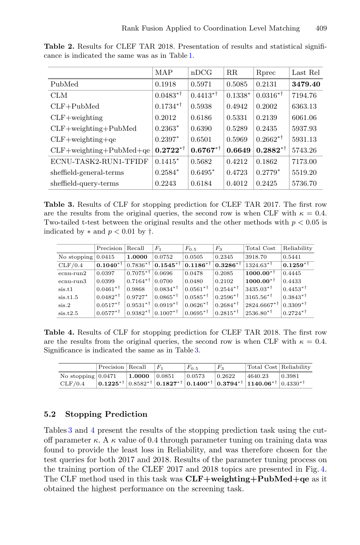|                                 | MAP           | nDCG          | $_{\rm RR}$ | Rprec                | Last Rel |
|---------------------------------|---------------|---------------|-------------|----------------------|----------|
| PubMed                          | 0.1918        | 0.5971        | 0.5085      | 0.2131               | 3479.40  |
| <b>CLM</b>                      | $0.0483**$    | $0.4413**$    | $0.1338*$   | $0.0316**^{\dagger}$ | 7194.76  |
| $CLF+PubMed$                    | $0.1734**$    | 0.5938        | 0.4942      | 0.2002               | 6363.13  |
| $CLF + weighting$               | 0.2012        | 0.6186        | 0.5331      | 0.2139               | 6061.06  |
| $CLF + weighting + PubMed$      | $0.2363*$     | 0.6390        | 0.5289      | 0.2435               | 5937.93  |
| $CLF + weighting + qe$          | $0.2397*$     | 0.6501        | 0.5969      | $0.2662**$           | 5931.13  |
| $CLF + weighting + PubMed + qe$ | $0.2722^{*+}$ | $0.6767^{*+}$ | 0.6649      | $0.2882**$           | 5743.26  |
| ECNU-TASK2-RUN1-TFIDF           | $0.1415*$     | 0.5682        | 0.4212      | 0.1862               | 7173.00  |
| sheffield-general-terms         | $0.2584*$     | $0.6495*$     | 0.4723      | $0.2779*$            | 5519.20  |
| sheffield-query-terms           | 0.2243        | 0.6184        | 0.4012      | 0.2425               | 5736.70  |

<span id="page-10-0"></span>**Table 2.** Results for CLEF TAR 2018. Presentation of results and statistical significance is indicated the same was as in Table [1.](#page-9-0)

<span id="page-10-1"></span>**Table 3.** Results of CLF for stopping prediction for CLEF TAR 2017. The first row are the results from the original queries, the second row is when CLF with  $\kappa = 0.4$ . Two-tailed t-test between the original results and the other methods with  $p < 0.05$  is indicated by  $*$  and  $p < 0.01$  by  $\dagger$ .

|                | Precision     | Recall               | $F_1$                | $F_{0.5}$            | $F_3$                | Total Cost                 | Reliability |
|----------------|---------------|----------------------|----------------------|----------------------|----------------------|----------------------------|-------------|
| No stopping    | 0.0415        | 1.0000               | 0.0752               | 0.0505               | 0.2345               | 3918.70                    | 0.5441      |
| CLF/0.4        | $0.1040^{*+}$ | $0.7836**^{\dagger}$ | $0.1545**$           | $0.1186**$           | $0.3286^{*+}$        | $1324.63**$                | $0.1259**$  |
| $ecnu-run2$    | 0.0397        | $0.7075**$           | 0.0696               | 0.0478               | 0.2085               | $1000.00^{*}$              | 0.4445      |
| ecnu-run3      | 0.0399        | $0.7164**$           | 0.0700               | 0.0480               | 0.2102               | $1000.00^{*}$ <sup>†</sup> | 0.4433      |
| $s$ is.t $1$   | $0.0461**$    | 0.9868               | $0.0834**$           | $0.0561**$           | $0.2544**$           | $3435.03**$                | $0.4453**$  |
| $s$ is.t $1.5$ | $0.0482**$    | $0.9727*$            | $0.0865**^{\dagger}$ | $0.0585**^{\dagger}$ | $0.2596**^{\dagger}$ | $3165.56**$                | $0.3843**$  |
| sis.2          | $0.0517**$    | $0.9531**$           | $0.0919**$           | $0.0626**^{\dagger}$ | $0.2684**$           | $2824.6667**$              | $0.3309**$  |
| $s$ is.t $2.5$ | $0.0577**$    | $0.9382**$           | $0.1007**$           | $0.0695**$           | $0.2815**^{\dagger}$ | $2536.80^{*}$ <sup>†</sup> | $0.2724**$  |

<span id="page-10-2"></span>**Table 4.** Results of CLF for stopping prediction for CLEF TAR 2018. The first row are the results from the original queries, the second row is when CLF with  $\kappa = 0.4$ . Significance is indicated the same as in Table [3.](#page-10-1)

|                        | Precision   Recall |                                         | $ F_1 $ | $F_{0.5}$ | $F_3$  | Total Cost Reliability                                                                                                                                                                  |        |
|------------------------|--------------------|-----------------------------------------|---------|-----------|--------|-----------------------------------------------------------------------------------------------------------------------------------------------------------------------------------------|--------|
| No stopping $(0.0471)$ |                    | $\vert 1.0000 \vert \vert 0.0851 \vert$ |         | 0.0573    | 0.2622 | $ 4640.23\rangle$                                                                                                                                                                       | 0.3981 |
| CLF/0.4                |                    |                                         |         |           |        | $\vert 0.1225^{* \dagger} \vert 0.8582^{* \dagger} \vert 0.1827^{* \dagger} \vert 0.1400^{* \dagger} \vert 0.3794^{* \dagger} \vert 1140.06^{* \dagger} \vert 0.4330^{* \dagger} \vert$ |        |

#### **5.2 Stopping Prediction**

Tables [3](#page-10-1) and [4](#page-10-2) present the results of the stopping prediction task using the cutoff parameter  $\kappa$ . A  $\kappa$  value of 0.4 through parameter tuning on training data was found to provide the least loss in Reliability, and was therefore chosen for the test queries for both 2017 and 2018. Results of the parameter tuning process on the training portion of the CLEF 2017 and 2018 topics are presented in Fig. [4.](#page-11-0) The CLF method used in this task was **CLF+weighting+PubMed+qe** as it obtained the highest performance on the screening task.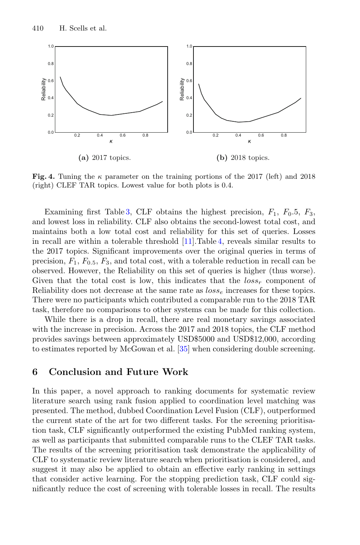

<span id="page-11-0"></span>**Fig. 4.** Tuning the  $\kappa$  parameter on the training portions of the 2017 (left) and 2018 (right) CLEF TAR topics. Lowest value for both plots is 0.4.

Examining first Table [3,](#page-10-1) CLF obtains the highest precision,  $F_1$ ,  $F_0$ .5,  $F_3$ , and lowest loss in reliability. CLF also obtains the second-lowest total cost, and maintains both a low total cost and reliability for this set of queries. Losses in recall are within a tolerable threshold [\[11\]](#page-13-18).Table [4,](#page-10-2) reveals similar results to the 2017 topics. Significant improvements over the original queries in terms of precision,  $F_1$ ,  $F_{0.5}$ ,  $F_3$ , and total cost, with a tolerable reduction in recall can be observed. However, the Reliability on this set of queries is higher (thus worse). Given that the total cost is low, this indicates that the  $loss<sub>r</sub>$  component of Reliability does not decrease at the same rate as  $loss_e$  increases for these topics. There were no participants which contributed a comparable run to the 2018 TAR task, therefore no comparisons to other systems can be made for this collection.

While there is a drop in recall, there are real monetary savings associated with the increase in precision. Across the 2017 and 2018 topics, the CLF method provides savings between approximately USD\$5000 and USD\$12,000, according to estimates reported by McGowan et al. [\[35](#page-14-0)] when considering double screening.

### **6 Conclusion and Future Work**

In this paper, a novel approach to ranking documents for systematic review literature search using rank fusion applied to coordination level matching was presented. The method, dubbed Coordination Level Fusion (CLF), outperformed the current state of the art for two different tasks. For the screening prioritisation task, CLF significantly outperformed the existing PubMed ranking system, as well as participants that submitted comparable runs to the CLEF TAR tasks. The results of the screening prioritisation task demonstrate the applicability of CLF to systematic review literature search when prioritisation is considered, and suggest it may also be applied to obtain an effective early ranking in settings that consider active learning. For the stopping prediction task, CLF could significantly reduce the cost of screening with tolerable losses in recall. The results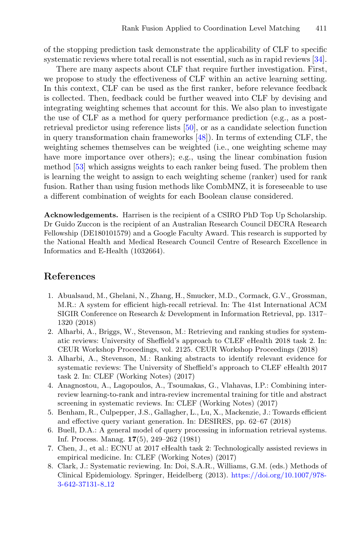of the stopping prediction task demonstrate the applicability of CLF to specific systematic reviews where total recall is not essential, such as in rapid reviews [\[34\]](#page-14-18).

There are many aspects about CLF that require further investigation. First, we propose to study the effectiveness of CLF within an active learning setting. In this context, CLF can be used as the first ranker, before relevance feedback is collected. Then, feedback could be further weaved into CLF by devising and integrating weighting schemes that account for this. We also plan to investigate the use of CLF as a method for query performance prediction (e.g., as a postretrieval predictor using reference lists [\[50](#page-15-9)], or as a candidate selection function in query transformation chain frameworks [\[48](#page-15-0)]). In terms of extending CLF, the weighting schemes themselves can be weighted (i.e., one weighting scheme may have more importance over others); e.g., using the linear combination fusion method [\[53](#page-15-8)] which assigns weights to each ranker being fused. The problem then is learning the weight to assign to each weighting scheme (ranker) used for rank fusion. Rather than using fusion methods like CombMNZ, it is foreseeable to use a different combination of weights for each Boolean clause considered.

**Acknowledgements.** Harrisen is the recipient of a CSIRO PhD Top Up Scholarship. Dr Guido Zuccon is the recipient of an Australian Research Council DECRA Research Fellowship (DE180101579) and a Google Faculty Award. This research is supported by the National Health and Medical Research Council Centre of Research Excellence in Informatics and E-Health (1032664).

# **References**

- <span id="page-12-1"></span>1. Abualsaud, M., Ghelani, N., Zhang, H., Smucker, M.D., Cormack, G.V., Grossman, M.R.: A system for efficient high-recall retrieval. In: The 41st International ACM SIGIR Conference on Research & Development in Information Retrieval, pp. 1317– 1320 (2018)
- <span id="page-12-5"></span>2. Alharbi, A., Briggs, W., Stevenson, M.: Retrieving and ranking studies for systematic reviews: University of Sheffield's approach to CLEF eHealth 2018 task 2. In: CEUR Workshop Proceedings, vol. 2125. CEUR Workshop Proceedings (2018)
- <span id="page-12-2"></span>3. Alharbi, A., Stevenson, M.: Ranking abstracts to identify relevant evidence for systematic reviews: The University of Sheffield's approach to CLEF eHealth 2017 task 2. In: CLEF (Working Notes) (2017)
- <span id="page-12-4"></span>4. Anagnostou, A., Lagopoulos, A., Tsoumakas, G., Vlahavas, I.P.: Combining interreview learning-to-rank and intra-review incremental training for title and abstract screening in systematic reviews. In: CLEF (Working Notes) (2017)
- <span id="page-12-7"></span>5. Benham, R., Culpepper, J.S., Gallagher, L., Lu, X., Mackenzie, J.: Towards efficient and effective query variant generation. In: DESIRES, pp. 62–67 (2018)
- <span id="page-12-6"></span>6. Buell, D.A.: A general model of query processing in information retrieval systems. Inf. Process. Manag. **17**(5), 249–262 (1981)
- <span id="page-12-3"></span>7. Chen, J., et al.: ECNU at 2017 eHealth task 2: Technologically assisted reviews in empirical medicine. In: CLEF (Working Notes) (2017)
- <span id="page-12-0"></span>8. Clark, J.: Systematic reviewing. In: Doi, S.A.R., Williams, G.M. (eds.) Methods of Clinical Epidemiology. Springer, Heidelberg (2013). [https://doi.org/10.1007/978-](https://doi.org/10.1007/978-3-642-37131-8_12) [3-642-37131-8](https://doi.org/10.1007/978-3-642-37131-8_12) 12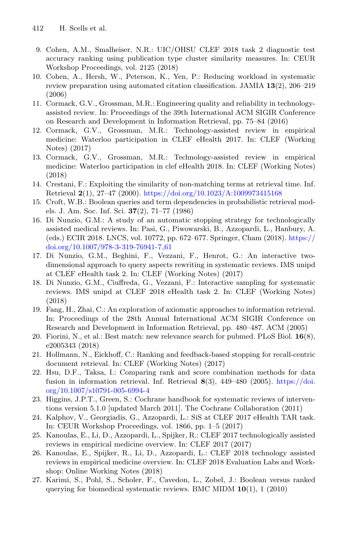- <span id="page-13-11"></span>9. Cohen, A.M., Smalheiser, N.R.: UIC/OHSU CLEF 2018 task 2 diagnostic test accuracy ranking using publication type cluster similarity measures. In: CEUR Workshop Proceedings, vol. 2125 (2018)
- <span id="page-13-6"></span>10. Cohen, A., Hersh, W., Peterson, K., Yen, P.: Reducing workload in systematic review preparation using automated citation classification. JAMIA **13**(2), 206–219 (2006)
- <span id="page-13-18"></span>11. Cormack, G.V., Grossman, M.R.: Engineering quality and reliability in technologyassisted review. In: Proceedings of the 39th International ACM SIGIR Conference on Research and Development in Information Retrieval, pp. 75–84 (2016)
- <span id="page-13-7"></span>12. Cormack, G.V., Grossman, M.R.: Technology-assisted review in empirical medicine: Waterloo participation in CLEF eHealth 2017. In: CLEF (Working Notes) (2017)
- <span id="page-13-8"></span>13. Cormack, G.V., Grossman, M.R.: Technology-assisted review in empirical medicine: Waterloo participation in clef eHealth 2018. In: CLEF (Working Notes) (2018)
- <span id="page-13-14"></span>14. Crestani, F.: Exploiting the similarity of non-matching terms at retrieval time. Inf. Retrieval **2**(1), 27–47 (2000). <https://doi.org/10.1023/A:1009973415168>
- <span id="page-13-13"></span>15. Croft, W.B.: Boolean queries and term dependencies in probabilistic retrieval models. J. Am. Soc. Inf. Sci. **37**(2), 71–77 (1986)
- <span id="page-13-4"></span>16. Di Nunzio, G.M.: A study of an automatic stopping strategy for technologically assisted medical reviews. In: Pasi, G., Piwowarski, B., Azzopardi, L., Hanbury, A. (eds.) ECIR 2018. LNCS, vol. 10772, pp. 672–677. Springer, Cham (2018). [https://](https://doi.org/10.1007/978-3-319-76941-7_61) [doi.org/10.1007/978-3-319-76941-7](https://doi.org/10.1007/978-3-319-76941-7_61) 61
- <span id="page-13-12"></span>17. Di Nunzio, G.M., Beghini, F., Vezzani, F., Henrot, G.: An interactive twodimensional approach to query aspects rewriting in systematic reviews. IMS unipd at CLEF eHealth task 2. In: CLEF (Working Notes) (2017)
- <span id="page-13-9"></span>18. Di Nunzio, G.M., Ciuffreda, G., Vezzani, F.: Interactive sampling for systematic reviews. IMS unipd at CLEF 2018 eHealth task 2. In: CLEF (Working Notes) (2018)
- <span id="page-13-16"></span>19. Fang, H., Zhai, C.: An exploration of axiomatic approaches to information retrieval. In: Proceedings of the 28th Annual International ACM SIGIR Conference on Research and Development in Information Retrieval, pp. 480–487. ACM (2005)
- <span id="page-13-17"></span>20. Fiorini, N., et al.: Best match: new relevance search for pubmed. PLoS Biol. **16**(8), e2005343 (2018)
- <span id="page-13-10"></span>21. Hollmann, N., Eickhoff, C.: Ranking and feedback-based stopping for recall-centric document retrieval. In: CLEF (Working Notes) (2017)
- <span id="page-13-15"></span>22. Hsu, D.F., Taksa, I.: Comparing rank and score combination methods for data fusion in information retrieval. Inf. Retrieval **8**(3), 449–480 (2005). [https://doi.](https://doi.org/10.1007/s10791-005-6994-4) [org/10.1007/s10791-005-6994-4](https://doi.org/10.1007/s10791-005-6994-4)
- <span id="page-13-0"></span>23. Higgins, J.P.T., Green, S.: Cochrane handbook for systematic reviews of interventions version 5.1.0 [updated March 2011]. The Cochrane Collaboration (2011)
- <span id="page-13-5"></span>24. Kalphov, V., Georgiadis, G., Azzopardi, L.: SiS at CLEF 2017 eHealth TAR task. In: CEUR Workshop Proceedings, vol. 1866, pp. 1–5 (2017)
- <span id="page-13-1"></span>25. Kanoulas, E., Li, D., Azzopardi, L., Spijker, R.: CLEF 2017 technologically assisted reviews in empirical medicine overview. In: CLEF 2017 (2017)
- <span id="page-13-2"></span>26. Kanoulas, E., Spijker, R., Li, D., Azzopardi, L.: CLEF 2018 technology assisted reviews in empirical medicine overview. In: CLEF 2018 Evaluation Labs and Workshop: Online Working Notes (2018)
- <span id="page-13-3"></span>27. Karimi, S., Pohl, S., Scholer, F., Cavedon, L., Zobel, J.: Boolean versus ranked querying for biomedical systematic reviews. BMC MIDM **10**(1), 1 (2010)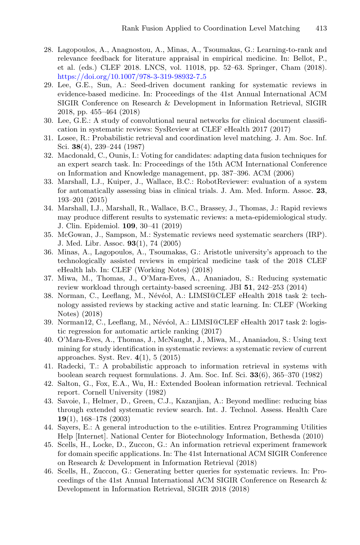- <span id="page-14-3"></span>28. Lagopoulos, A., Anagnostou, A., Minas, A., Tsoumakas, G.: Learning-to-rank and relevance feedback for literature appraisal in empirical medicine. In: Bellot, P., et al. (eds.) CLEF 2018. LNCS, vol. 11018, pp. 52–63. Springer, Cham (2018). [https://doi.org/10.1007/978-3-319-98932-7](https://doi.org/10.1007/978-3-319-98932-7_5) 5
- <span id="page-14-4"></span>29. Lee, G.E., Sun, A.: Seed-driven document ranking for systematic reviews in evidence-based medicine. In: Proceedings of the 41st Annual International ACM SIGIR Conference on Research & Development in Information Retrieval, SIGIR 2018, pp. 455–464 (2018)
- <span id="page-14-11"></span>30. Lee, G.E.: A study of convolutional neural networks for clinical document classification in systematic reviews: SysReview at CLEF eHealth 2017 (2017)
- <span id="page-14-14"></span>31. Losee, R.: Probabilistic retrieval and coordination level matching. J. Am. Soc. Inf. Sci. **38**(4), 239–244 (1987)
- <span id="page-14-15"></span>32. Macdonald, C., Ounis, I.: Voting for candidates: adapting data fusion techniques for an expert search task. In: Proceedings of the 15th ACM International Conference on Information and Knowledge management, pp. 387–396. ACM (2006)
- <span id="page-14-6"></span>33. Marshall, I.J., Kuiper, J., Wallace, B.C.: RobotReviewer: evaluation of a system for automatically assessing bias in clinical trials. J. Am. Med. Inform. Assoc. **23**, 193–201 (2015)
- <span id="page-14-18"></span>34. Marshall, I.J., Marshall, R., Wallace, B.C., Brassey, J., Thomas, J.: Rapid reviews may produce different results to systematic reviews: a meta-epidemiological study. J. Clin. Epidemiol. **109**, 30–41 (2019)
- <span id="page-14-0"></span>35. McGowan, J., Sampson, M.: Systematic reviews need systematic searchers (IRP). J. Med. Libr. Assoc. **93**(1), 74 (2005)
- <span id="page-14-8"></span>36. Minas, A., Lagopoulos, A., Tsoumakas, G.: Aristotle university's approach to the technologically assisted reviews in empirical medicine task of the 2018 CLEF eHealth lab. In: CLEF (Working Notes) (2018)
- <span id="page-14-5"></span>37. Miwa, M., Thomas, J., O'Mara-Eves, A., Ananiadou, S.: Reducing systematic review workload through certainty-based screening. JBI **51**, 242–253 (2014)
- <span id="page-14-9"></span>38. Norman, C., Leeflang, M., Névéol, A.: LIMSI@CLEF eHealth 2018 task 2: technology assisted reviews by stacking active and static learning. In: CLEF (Working Notes) (2018)
- <span id="page-14-10"></span>39. Norman12, C., Leeflang, M., Névéol, A.: LIMSI@CLEF eHealth 2017 task 2: logistic regression for automatic article ranking (2017)
- <span id="page-14-1"></span>40. O'Mara-Eves, A., Thomas, J., McNaught, J., Miwa, M., Ananiadou, S.: Using text mining for study identification in systematic reviews: a systematic review of current approaches. Syst. Rev. **4**(1), 5 (2015)
- <span id="page-14-13"></span>41. Radecki, T.: A probabilistic approach to information retrieval in systems with boolean search request formulations. J. Am. Soc. Inf. Sci. **33**(6), 365–370 (1982)
- <span id="page-14-12"></span>42. Salton, G., Fox, E.A., Wu, H.: Extended Boolean information retrieval. Technical report. Cornell University (1982)
- <span id="page-14-7"></span>43. Savoie, I., Helmer, D., Green, C.J., Kazanjian, A.: Beyond medline: reducing bias through extended systematic review search. Int. J. Technol. Assess. Health Care **19**(1), 168–178 (2003)
- <span id="page-14-17"></span>44. Sayers, E.: A general introduction to the e-utilities. Entrez Programming Utilities Help [Internet]. National Center for Biotechnology Information, Bethesda (2010)
- <span id="page-14-16"></span>45. Scells, H., Locke, D., Zuccon, G.: An information retrieval experiment framework for domain specific applications. In: The 41st International ACM SIGIR Conference on Research & Development in Information Retrieval (2018)
- <span id="page-14-2"></span>46. Scells, H., Zuccon, G.: Generating better queries for systematic reviews. In: Proceedings of the 41st Annual International ACM SIGIR Conference on Research & Development in Information Retrieval, SIGIR 2018 (2018)